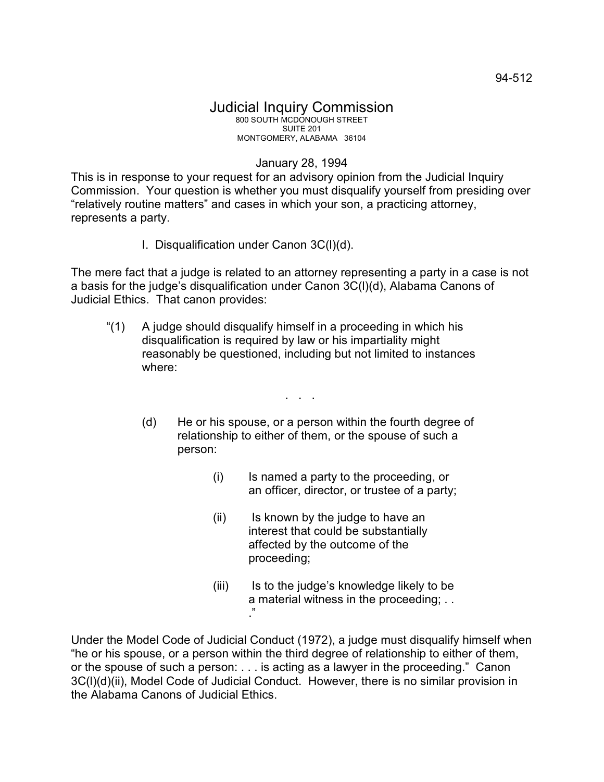## January 28, 1994

This is in response to your request for an advisory opinion from the Judicial Inquiry Commission. Your question is whether you must disqualify yourself from presiding over "relatively routine matters" and cases in which your son, a practicing attorney, represents a party.

I. Disqualification under Canon 3C(l)(d).

The mere fact that a judge is related to an attorney representing a party in a case is not a basis for the judge's disqualification under Canon 3C(l)(d), Alabama Canons of Judicial Ethics. That canon provides:

"(1) A judge should disqualify himself in a proceeding in which his disqualification is required by law or his impartiality might reasonably be questioned, including but not limited to instances where:

. . .

- (d) He or his spouse, or a person within the fourth degree of relationship to either of them, or the spouse of such a person:
	- (i) Is named a party to the proceeding, or an officer, director, or trustee of a party;
	- (ii) Is known by the judge to have an interest that could be substantially affected by the outcome of the proceeding;
	- (iii) Is to the judge's knowledge likely to be a material witness in the proceeding; . . ."

Under the Model Code of Judicial Conduct (1972), a judge must disqualify himself when "he or his spouse, or a person within the third degree of relationship to either of them, or the spouse of such a person: . . . is acting as a lawyer in the proceeding." Canon 3C(l)(d)(ii), Model Code of Judicial Conduct. However, there is no similar provision in the Alabama Canons of Judicial Ethics.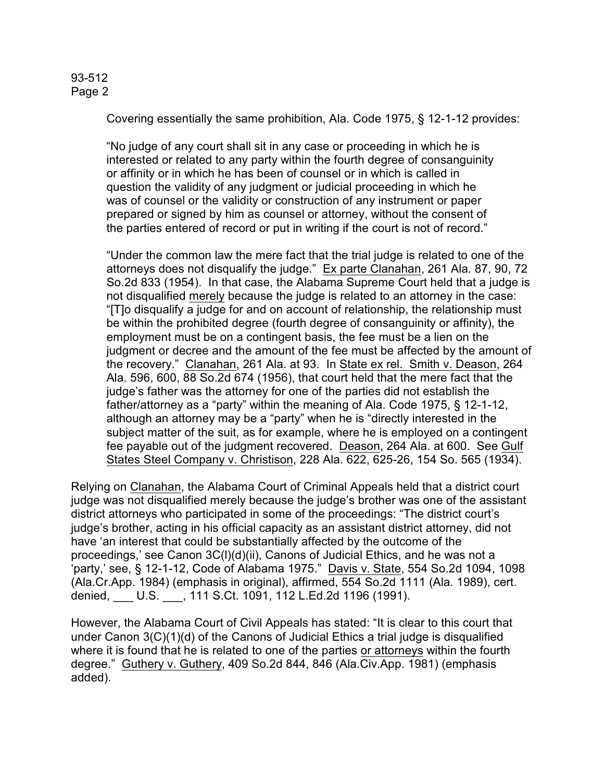## 93-512 Page 2

Covering essentially the same prohibition, Ala. Code 1975, § 12-1-12 provides:

"No judge of any court shall sit in any case or proceeding in which he is interested or related to any party within the fourth degree of consanguinity or affinity or in which he has been of counsel or in which is called in question the validity of any judgment or judicial proceeding in which he was of counsel or the validity or construction of any instrument or paper prepared or signed by him as counsel or attorney, without the consent of the parties entered of record or put in writing if the court is not of record."

"Under the common law the mere fact that the trial judge is related to one of the attorneys does not disqualify the judge." Ex parte Clanahan, 261 Ala. 87, 90, 72 So.2d 833 (1954). In that case, the Alabama Supreme Court held that a judge is not disqualified merely because the judge is related to an attorney in the case: "[T]o disqualify a judge for and on account of relationship, the relationship must be within the prohibited degree (fourth degree of consanguinity or affinity), the employment must be on a contingent basis, the fee must be a lien on the judgment or decree and the amount of the fee must be affected by the amount of the recovery." Clanahan, 261 Ala. at 93. In State ex rel. Smith v. Deason, 264 Ala. 596, 600, 88 So.2d 674 (1956), that court held that the mere fact that the judge's father was the attorney for one of the parties did not establish the father/attorney as a "party" within the meaning of Ala. Code 1975, § 12-1-12, although an attorney may be a "party" when he is "directly interested in the subject matter of the suit, as for example, where he is employed on a contingent fee payable out of the judgment recovered. Deason, 264 Ala. at 600. See Gulf States Steel Company v. Christison, 228 Ala. 622, 625-26, 154 So. 565 (1934).

Relying on Clanahan, the Alabama Court of Criminal Appeals held that a district court judge was not disqualified merely because the judge's brother was one of the assistant district attorneys who participated in some of the proceedings: "The district court's judge's brother, acting in his official capacity as an assistant district attorney, did not have 'an interest that could be substantially affected by the outcome of the proceedings,' see Canon 3C(l)(d)(ii), Canons of Judicial Ethics, and he was not a 'party,' see, § 12-1-12, Code of Alabama 1975." Davis v. State, 554 So.2d 1094, 1098 (Ala.Cr.App. 1984) (emphasis in original), affirmed, 554 So.2d 1111 (Ala. 1989), cert. denied, \_\_\_ U.S. \_\_\_, 111 S.Ct. 1091, 112 L.Ed.2d 1196 (1991).

However, the Alabama Court of Civil Appeals has stated: "It is clear to this court that under Canon 3(C)(1)(d) of the Canons of Judicial Ethics a trial judge is disqualified where it is found that he is related to one of the parties or attorneys within the fourth degree." Guthery v. Guthery, 409 So.2d 844, 846 (Ala.Civ.App. 1981) (emphasis added).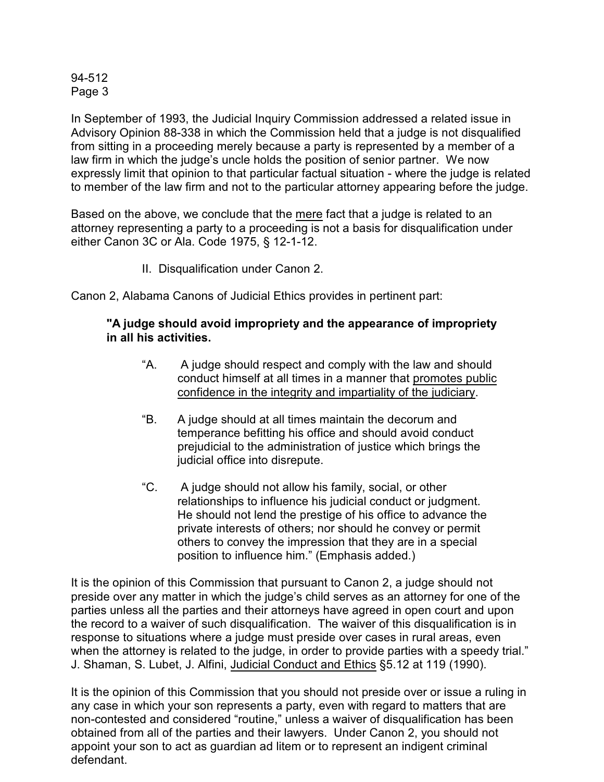## 94-512 Page 3

In September of 1993, the Judicial Inquiry Commission addressed a related issue in Advisory Opinion 88-338 in which the Commission held that a judge is not disqualified from sitting in a proceeding merely because a party is represented by a member of a law firm in which the judge's uncle holds the position of senior partner. We now expressly limit that opinion to that particular factual situation - where the judge is related to member of the law firm and not to the particular attorney appearing before the judge.

Based on the above, we conclude that the mere fact that a judge is related to an attorney representing a party to a proceeding is not a basis for disqualification under either Canon 3C or Ala. Code 1975, § 12-1-12.

II. Disqualification under Canon 2.

Canon 2, Alabama Canons of Judicial Ethics provides in pertinent part:

## **"A judge should avoid impropriety and the appearance of impropriety in all his activities.**

- "A. A judge should respect and comply with the law and should conduct himself at all times in a manner that promotes public confidence in the integrity and impartiality of the judiciary.
- "B. A judge should at all times maintain the decorum and temperance befitting his office and should avoid conduct prejudicial to the administration of justice which brings the judicial office into disrepute.
- "C. A judge should not allow his family, social, or other relationships to influence his judicial conduct or judgment. He should not lend the prestige of his office to advance the private interests of others; nor should he convey or permit others to convey the impression that they are in a special position to influence him." (Emphasis added.)

It is the opinion of this Commission that pursuant to Canon 2, a judge should not preside over any matter in which the judge's child serves as an attorney for one of the parties unless all the parties and their attorneys have agreed in open court and upon the record to a waiver of such disqualification. The waiver of this disqualification is in response to situations where a judge must preside over cases in rural areas, even when the attorney is related to the judge, in order to provide parties with a speedy trial." J. Shaman, S. Lubet, J. Alfini, Judicial Conduct and Ethics §5.12 at 119 (1990).

It is the opinion of this Commission that you should not preside over or issue a ruling in any case in which your son represents a party, even with regard to matters that are non-contested and considered "routine," unless a waiver of disqualification has been obtained from all of the parties and their lawyers. Under Canon 2, you should not appoint your son to act as guardian ad litem or to represent an indigent criminal defendant.